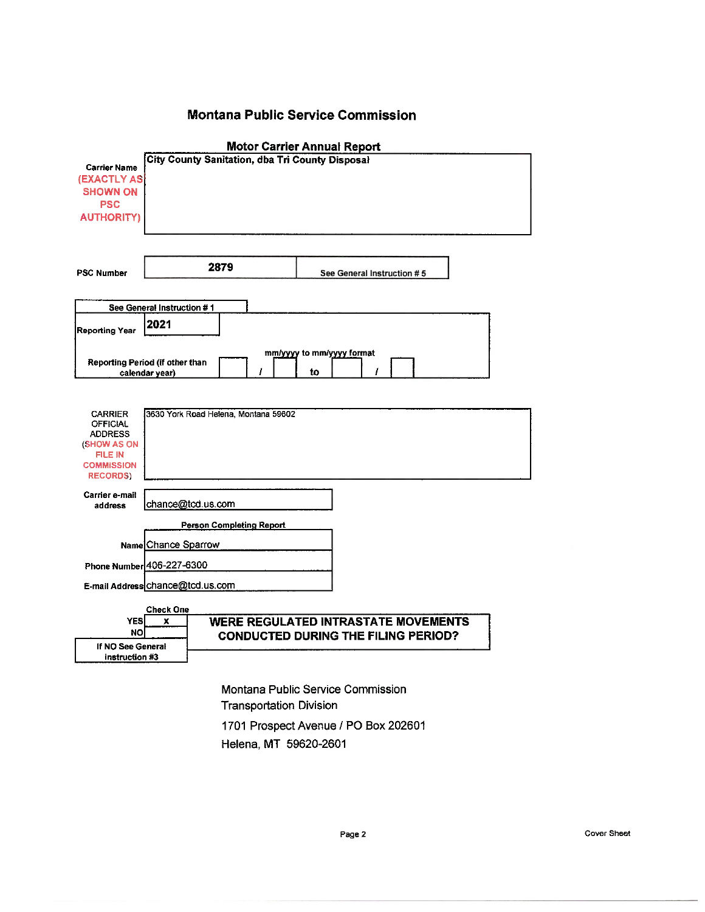# **Montana Public Service Commission**

| <b>Motor Carrier Annual Report</b>              |                                 |                                      |                           |                                            |  |
|-------------------------------------------------|---------------------------------|--------------------------------------|---------------------------|--------------------------------------------|--|
| City County Sanitation, dba Tri County Disposal |                                 |                                      |                           |                                            |  |
| <b>Carrier Name</b><br>(EXACTLY AS)             |                                 |                                      |                           |                                            |  |
| <b>SHOWN ON</b>                                 |                                 |                                      |                           |                                            |  |
| <b>PSC</b>                                      |                                 |                                      |                           |                                            |  |
| <b>AUTHORITY)</b>                               |                                 |                                      |                           |                                            |  |
|                                                 |                                 |                                      |                           |                                            |  |
|                                                 |                                 |                                      |                           |                                            |  |
|                                                 |                                 |                                      |                           |                                            |  |
|                                                 |                                 | 2879                                 |                           |                                            |  |
| <b>PSC Number</b>                               |                                 |                                      |                           | See General Instruction #5                 |  |
|                                                 |                                 |                                      |                           |                                            |  |
|                                                 | See General Instruction #1      |                                      |                           |                                            |  |
|                                                 | 2021                            |                                      |                           |                                            |  |
| <b>Reporting Year</b>                           |                                 |                                      |                           |                                            |  |
|                                                 |                                 |                                      | mm/yyyy to mm/yyyy format |                                            |  |
|                                                 | Reporting Period (if other than |                                      |                           |                                            |  |
|                                                 | calendar year)                  | ı                                    | to                        |                                            |  |
|                                                 |                                 |                                      |                           |                                            |  |
|                                                 |                                 |                                      |                           |                                            |  |
| <b>CARRIER</b>                                  |                                 | 3630 York Road Helena, Montana 59602 |                           |                                            |  |
| OFFICIAL<br><b>ADDRESS</b>                      |                                 |                                      |                           |                                            |  |
| (SHOW AS ON                                     |                                 |                                      |                           |                                            |  |
| <b>FILE IN</b>                                  |                                 |                                      |                           |                                            |  |
| <b>COMMISSION</b>                               |                                 |                                      |                           |                                            |  |
| <b>RECORDS)</b>                                 |                                 |                                      |                           |                                            |  |
| Carrier e-mail                                  |                                 |                                      |                           |                                            |  |
| address                                         | chance@tcd.us.com               |                                      |                           |                                            |  |
|                                                 |                                 | <b>Person Completing Report</b>      |                           |                                            |  |
|                                                 |                                 |                                      |                           |                                            |  |
|                                                 | Name Chance Sparrow             |                                      |                           |                                            |  |
| Phone Number 406-227-6300                       |                                 |                                      |                           |                                            |  |
|                                                 |                                 |                                      |                           |                                            |  |
| E-mail Address chance@tcd.us.com                |                                 |                                      |                           |                                            |  |
|                                                 | Check One                       |                                      |                           |                                            |  |
| <b>YES</b>                                      | x                               |                                      |                           | <b>WERE REGULATED INTRASTATE MOVEMENTS</b> |  |
| <b>NO</b>                                       |                                 |                                      |                           | <b>CONDUCTED DURING THE FILING PERIOD?</b> |  |
| If NO See General                               |                                 |                                      |                           |                                            |  |
| instruction #3                                  |                                 |                                      |                           |                                            |  |
|                                                 |                                 |                                      |                           |                                            |  |

Montana Public Service Commission **Transportation Division** 1701 Prospect Avenue / PO Box 202601

Helena, MT 59620-2601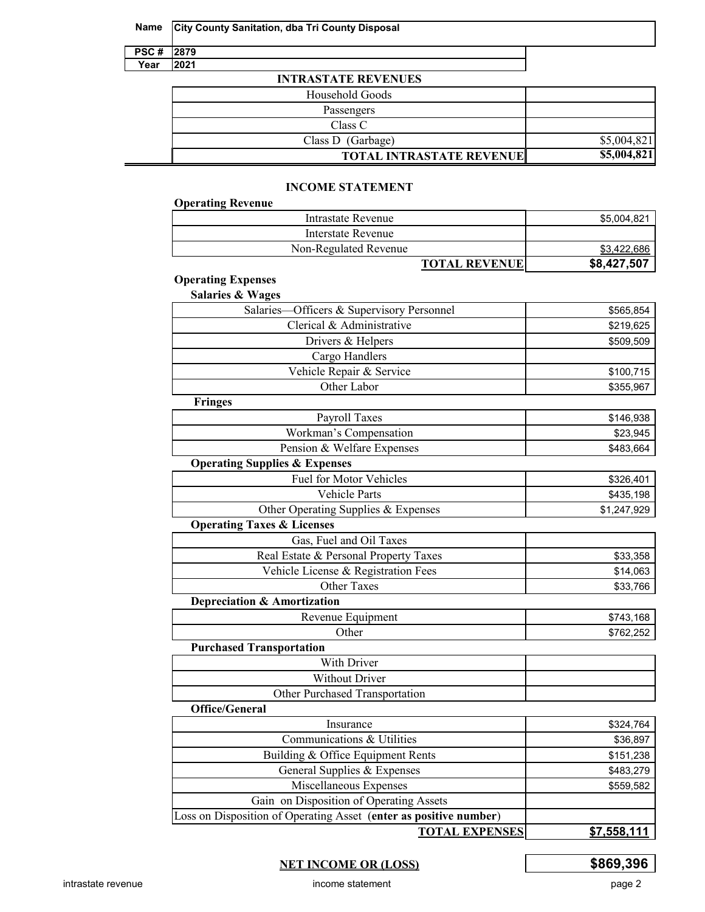|  |  | Name   City County Sanitation, dba Tri County Disposal |
|--|--|--------------------------------------------------------|
|--|--|--------------------------------------------------------|

| Æ | y  |
|---|----|
|   | E. |

# **INTRASTATE REVENUES**

| Household Goods                 |             |
|---------------------------------|-------------|
| Passengers                      |             |
| Class C                         |             |
| Class D (Garbage)               | \$5,004,821 |
| <b>TOTAL INTRASTATE REVENUE</b> | \$5,004,821 |

# **INCOME STATEMENT**

| <b>Operating Revenue</b> |                      |             |
|--------------------------|----------------------|-------------|
| Intrastate Revenue       |                      | \$5,004,821 |
| Interstate Revenue       |                      |             |
| Non-Regulated Revenue    |                      | \$3,422,686 |
|                          | <b>TOTAL REVENUE</b> | \$8,427,507 |

# **Operating Expenses**

| <b>Salaries &amp; Wages</b>                                       |                    |
|-------------------------------------------------------------------|--------------------|
| Salaries—Officers & Supervisory Personnel                         | \$565,854          |
| Clerical & Administrative                                         | \$219,625          |
| Drivers & Helpers                                                 | \$509,509          |
| Cargo Handlers                                                    |                    |
| Vehicle Repair & Service                                          | \$100,715          |
| Other Labor                                                       | \$355,967          |
| <b>Fringes</b>                                                    |                    |
| Payroll Taxes                                                     | \$146,938          |
| Workman's Compensation                                            | \$23,945           |
| Pension & Welfare Expenses                                        | \$483,664          |
| <b>Operating Supplies &amp; Expenses</b>                          |                    |
| <b>Fuel for Motor Vehicles</b>                                    | \$326,401          |
| <b>Vehicle Parts</b>                                              | \$435,198          |
| Other Operating Supplies & Expenses                               | \$1,247,929        |
| <b>Operating Taxes &amp; Licenses</b>                             |                    |
| Gas, Fuel and Oil Taxes                                           |                    |
| Real Estate & Personal Property Taxes                             | \$33,358           |
| Vehicle License & Registration Fees                               | \$14,063           |
| <b>Other Taxes</b>                                                | \$33,766           |
| <b>Depreciation &amp; Amortization</b>                            |                    |
| Revenue Equipment                                                 | \$743,168          |
| Other                                                             | \$762,252          |
| <b>Purchased Transportation</b>                                   |                    |
| With Driver                                                       |                    |
| <b>Without Driver</b>                                             |                    |
| Other Purchased Transportation                                    |                    |
| <b>Office/General</b>                                             |                    |
| Insurance                                                         | \$324,764          |
| Communications & Utilities                                        | \$36,897           |
| Building & Office Equipment Rents                                 | \$151,238          |
| General Supplies & Expenses                                       | \$483,279          |
| Miscellaneous Expenses                                            | \$559,582          |
| Gain on Disposition of Operating Assets                           |                    |
| Loss on Disposition of Operating Asset (enter as positive number) |                    |
| <b>TOTAL EXPENSES</b>                                             | <u>\$7,558,111</u> |

# **NET INCOME OR (LOSS) \$869,396**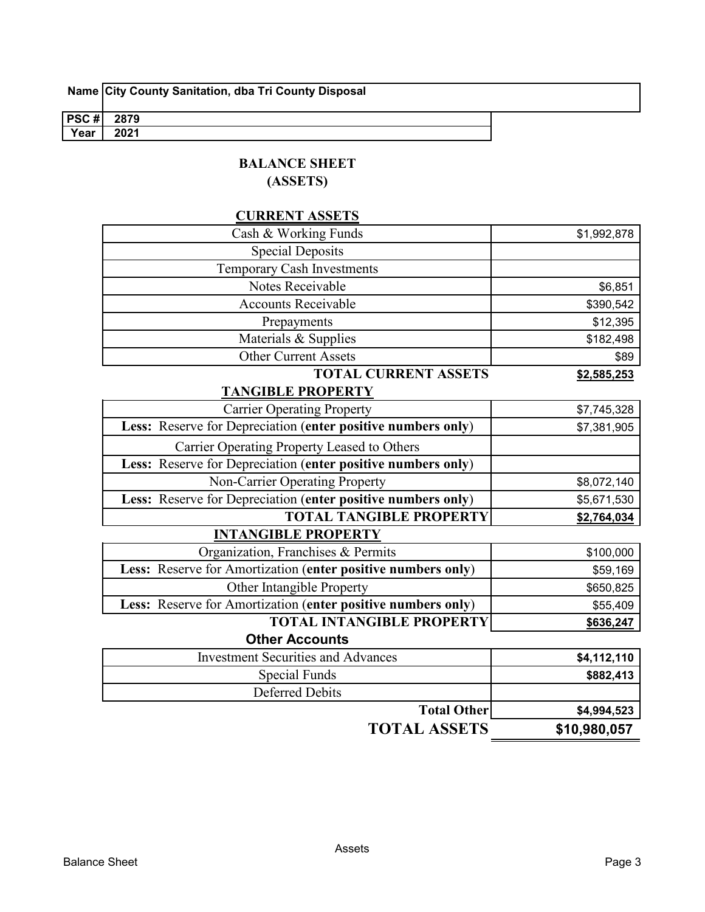|  |  |  | Name City County Sanitation, dba Tri County Disposal |  |
|--|--|--|------------------------------------------------------|--|
|--|--|--|------------------------------------------------------|--|

| PSC# | 2879           |  |
|------|----------------|--|
| Year | 2021<br>______ |  |
|      |                |  |

# **BALANCE SHEET**

**(ASSETS)**

# **CURRENT ASSETS**

| $\mathbf{m}$ , it of $\mathbf{m}$ is $\mathbf{m}$ is order to $\mathbf{m}$ |             |
|----------------------------------------------------------------------------|-------------|
| <b>TOTAL CURRENT ASSETS</b>                                                | \$2,585,253 |
| <b>Other Current Assets</b>                                                | \$89        |
| Materials & Supplies                                                       | \$182,498   |
| Prepayments                                                                | \$12,395    |
| <b>Accounts Receivable</b>                                                 | \$390,542   |
| Notes Receivable                                                           | \$6,851     |
| Temporary Cash Investments                                                 |             |
| <b>Special Deposits</b>                                                    |             |
| Cash & Working Funds                                                       | \$1,992,878 |
|                                                                            |             |

#### **TANGIBLE PROPERTY**

| <b>Carrier Operating Property</b>                            | \$7,745,328 |
|--------------------------------------------------------------|-------------|
| Less: Reserve for Depreciation (enter positive numbers only) | \$7,381,905 |
| Carrier Operating Property Leased to Others                  |             |
| Less: Reserve for Depreciation (enter positive numbers only) |             |
| Non-Carrier Operating Property                               | \$8,072,140 |
| Less: Reserve for Depreciation (enter positive numbers only) | \$5,671,530 |
| <b>TOTAL TANGIBLE PROPERTY</b>                               | \$2,764,034 |
| <b>INTANGIBLE PROPERTY</b>                                   |             |
| Organization, Franchises & Permits                           | \$100,000   |
| Less: Reserve for Amortization (enter positive numbers only) | \$59,169    |

| <b>Other Intangible Property</b>                                    | \$650,825 |
|---------------------------------------------------------------------|-----------|
| <b>Less:</b> Reserve for Amortization (enter positive numbers only) | \$55,409  |
| <b>TOTAL INTANGIBLE PROPERTY</b>                                    | \$636,247 |
| <b>Other Accounts</b>                                               |           |

| <b>Investment Securities and Advances</b> | \$4,112,110  |
|-------------------------------------------|--------------|
| Special Funds                             | \$882,413    |
| Deferred Debits                           |              |
| <b>Total Other</b>                        | \$4,994,523  |
| <b>TOTAL ASSETS</b>                       | \$10,980,057 |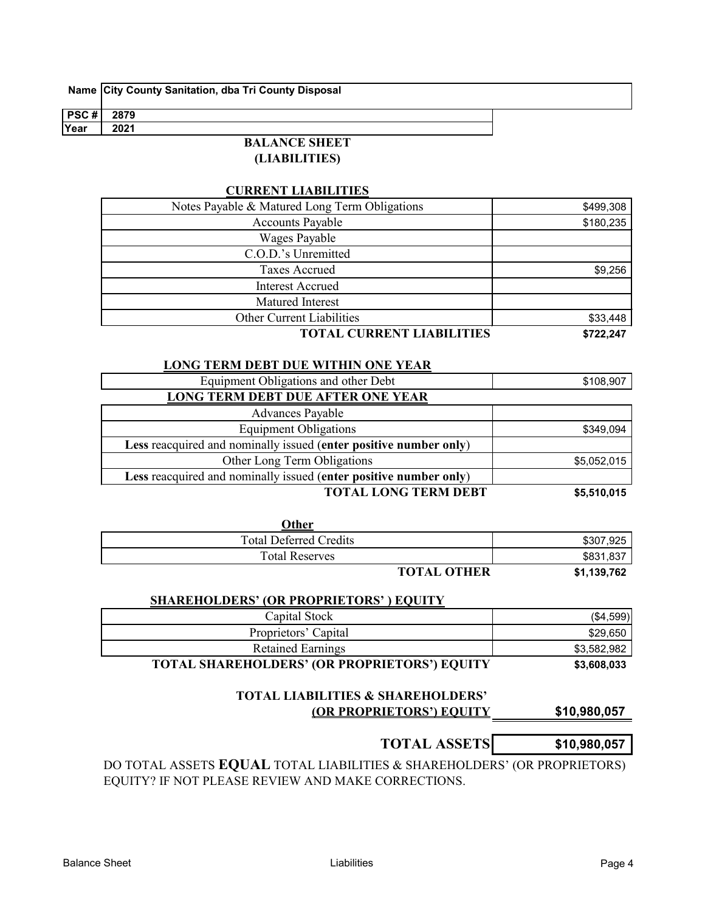| PSC # | 2879               |  |
|-------|--------------------|--|
| Year  | 2021               |  |
|       | A NOE CHEET<br>DAT |  |

#### **BALANCE SHEET (LIABILITIES)**

# **CURRENT LIABILITIES**

| Notes Payable & Matured Long Term Obligations | \$499,308 |
|-----------------------------------------------|-----------|
| <b>Accounts Payable</b>                       | \$180,235 |
| <b>Wages Payable</b>                          |           |
| C.O.D.'s Unremitted                           |           |
| <b>Taxes Accrued</b>                          | \$9,256   |
| <b>Interest Accrued</b>                       |           |
| Matured Interest                              |           |
| <b>Other Current Liabilities</b>              | \$33,448  |
| <b>TOTAL CHDDENT LIADH ITIES</b>              | E722217   |

**TOTAL CURRENT LIABILITIES \$722,247**

# **LONG TERM DEBT DUE WITHIN ONE YEAR**

| Equipment Obligations and other Debt                              | \$108,907   |
|-------------------------------------------------------------------|-------------|
| <b>LONG TERM DEBT DUE AFTER ONE YEAR</b>                          |             |
| <b>Advances Payable</b>                                           |             |
| <b>Equipment Obligations</b>                                      | \$349,094   |
| Less reacquired and nominally issued (enter positive number only) |             |
| Other Long Term Obligations                                       | \$5,052,015 |
| Less reacquired and nominally issued (enter positive number only) |             |
| <b>TOTAL LONG TERM DEBT</b>                                       | \$5,510,015 |

| Other                         |           |
|-------------------------------|-----------|
| <b>Total Deferred Credits</b> | \$307,925 |
| <b>Total Reserves</b>         | \$831,837 |
| <b>MORAL OFILIA</b>           | $\bullet$ |

**TOTAL OTHER \$1,139,762**

# **SHAREHOLDERS' (OR PROPRIETORS' ) EQUITY**

| Capital Stock                                       | (\$4,599)   |
|-----------------------------------------------------|-------------|
| Proprietors' Capital                                | \$29,650    |
| <b>Retained Earnings</b>                            | \$3,582,982 |
| <b>TOTAL SHAREHOLDERS' (OR PROPRIETORS') EQUITY</b> | \$3,608,033 |

| <b>TOTAL LIABILITIES &amp; SHAREHOLDERS'</b> |              |
|----------------------------------------------|--------------|
| <b>(OR PROPRIETORS') EQUITY</b>              | \$10,980,057 |

| <b>TOTAL ASSETS</b> | \$10,980,057 |
|---------------------|--------------|

DO TOTAL ASSETS **EQUAL** TOTAL LIABILITIES & SHAREHOLDERS' (OR PROPRIETORS) EQUITY? IF NOT PLEASE REVIEW AND MAKE CORRECTIONS.